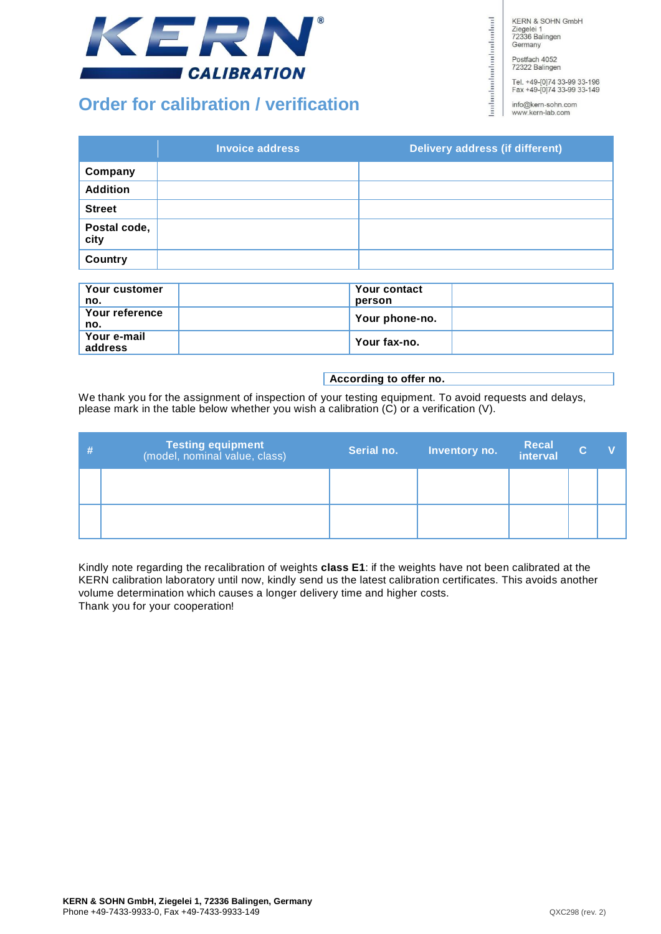

# **Order for calibration / verification**

**KERN & SOHN GmbH** Ziegelei 1<br>72336 Balingen Germany

Postfach 4052<br>72322 Balingen

bodonlookuduuluuluuluuluud

Tel. +49-[0]74 33-99 33-196<br>Fax +49-[0]74 33-99 33-149

info@kern-sohn.com www.kern-lab.com

|                      | <b>Invoice address</b> | Delivery address (if different) |
|----------------------|------------------------|---------------------------------|
| Company              |                        |                                 |
| <b>Addition</b>      |                        |                                 |
| <b>Street</b>        |                        |                                 |
| Postal code,<br>city |                        |                                 |
| Country              |                        |                                 |

| . Your customer<br>no. | Your contact<br>person |  |
|------------------------|------------------------|--|
| Your reference<br>no.  | Your phone-no.         |  |
| Your e-mail<br>address | . Your fax-no.         |  |

#### **According to offer no.**

We thank you for the assignment of inspection of your testing equipment. To avoid requests and delays, please mark in the table below whether you wish a calibration  $(C)$  or a verification (V).

| <b>Testing equipment</b><br>(model, nominal value, class) | Serial no. | Inventory no. | Recal | C. |  |
|-----------------------------------------------------------|------------|---------------|-------|----|--|
|                                                           |            |               |       |    |  |
|                                                           |            |               |       |    |  |

Kindly note regarding the recalibration of weights **class E1**: if the weights have not been calibrated at the KERN calibration laboratory until now, kindly send us the latest calibration certificates. This avoids another volume determination which causes a longer delivery time and higher costs. Thank you for your cooperation!